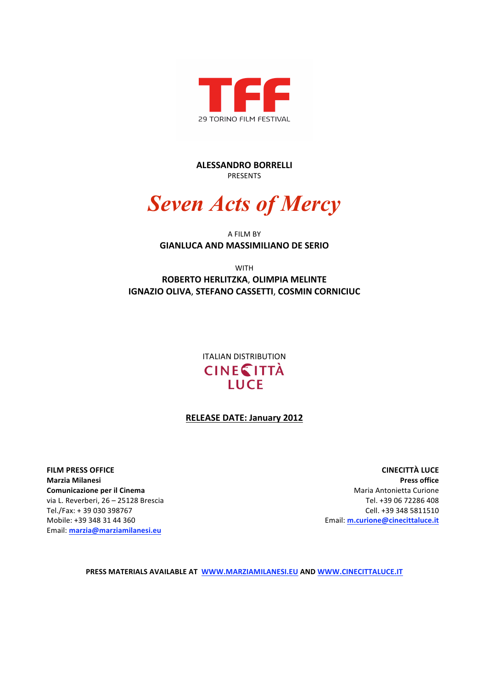

**ALESSANDRO BORRELLI** PRESENTS

# *Seven Acts of Mercy*

## A FILM BY **GIANLUCA AND MASSIMILIANO DE SERIO**

WITH

**ROBERTO HERLITZKA**, **OLIMPIA MELINTE IGNAZIO OLIVA**, **STEFANO CASSETTI**, **COSMIN CORNICIUC**

> ITALIAN DISTRIBUTION **CINE CITTÀ LUCE**

## **RELEASE DATE: January 2012**

**FILM PRESS OFFICE Marzia Milanesi Comunicazione per il Cinema** via L. Reverberi, 26 – 25128 Brescia Tel./Fax: + 39 030 398767 Mobile: +39 348 31 44 360 Email: **marzia@marziamilanesi.eu**

**CINECITTÀ LUCE Press office** Maria Antonietta Curione Tel. +39 06 72286 408 Cell. +39 348 5811510 Email: **m.curione@cinecittaluce.it**

**PRESS MATERIALS AVAILABLE AT WWW.MARZIAMILANESI.EU AND WWW.CINECITTALUCE.IT**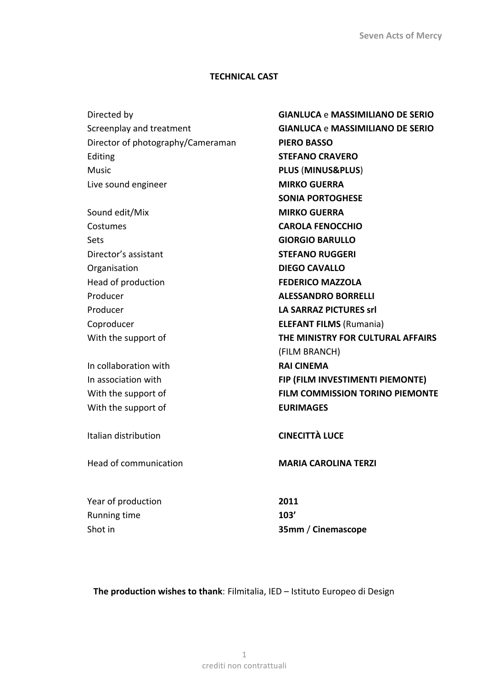## **TECHNICAL CAST**

| Directed by                       | <b>GIANLUCA e MASSIMILIANO DE SERIO</b> |
|-----------------------------------|-----------------------------------------|
| Screenplay and treatment          | <b>GIANLUCA e MASSIMILIANO DE SERIO</b> |
| Director of photography/Cameraman | <b>PIERO BASSO</b>                      |
| Editing                           | <b>STEFANO CRAVERO</b>                  |
| <b>Music</b>                      | PLUS (MINUS&PLUS)                       |
| Live sound engineer               | <b>MIRKO GUERRA</b>                     |
|                                   | <b>SONIA PORTOGHESE</b>                 |
| Sound edit/Mix                    | <b>MIRKO GUERRA</b>                     |
| Costumes                          | <b>CAROLA FENOCCHIO</b>                 |
| <b>Sets</b>                       | <b>GIORGIO BARULLO</b>                  |
| Director's assistant              | <b>STEFANO RUGGERI</b>                  |
| Organisation                      | <b>DIEGO CAVALLO</b>                    |
| Head of production                | <b>FEDERICO MAZZOLA</b>                 |
| Producer                          | <b>ALESSANDRO BORRELLI</b>              |
| Producer                          | <b>LA SARRAZ PICTURES srl</b>           |
| Coproducer                        | <b>ELEFANT FILMS (Rumania)</b>          |
| With the support of               | THE MINISTRY FOR CULTURAL AFFAIRS       |
|                                   | (FILM BRANCH)                           |
| In collaboration with             | <b>RAI CINEMA</b>                       |
| In association with               | FIP (FILM INVESTIMENTI PIEMONTE)        |
| With the support of               | <b>FILM COMMISSION TORINO PIEMONTE</b>  |
| With the support of               | <b>EURIMAGES</b>                        |
| Italian distribution              | <b>CINECITTÀ LUCE</b>                   |
| Head of communication             | <b>MARIA CAROLINA TERZI</b>             |
| Year of production                | 2011                                    |
| Running time                      | 103'                                    |
| Shot in                           | 35mm / Cinemascope                      |
|                                   |                                         |

**The production wishes to thank**: Filmitalia, IED – Istituto Europeo di Design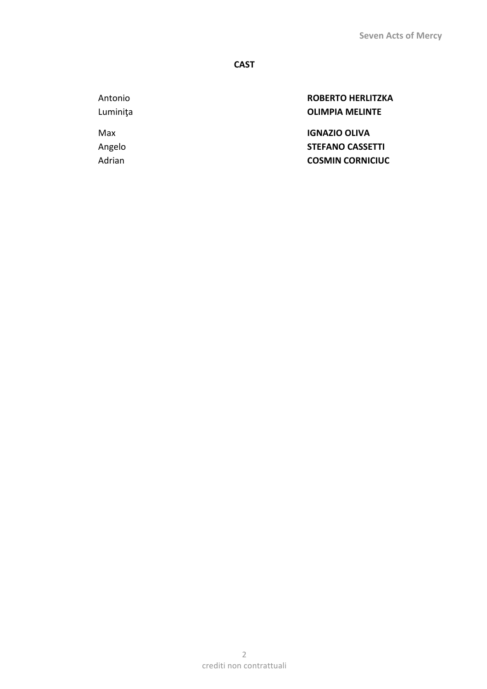## **CAST**

Antonio **ROBERTO HERLITZKA** Luminiţa **OLIMPIA MELINTE**

Max **IGNAZIO OLIVA** Angelo **STEFANO CASSETTI** Adrian **COSMIN CORNICIUC**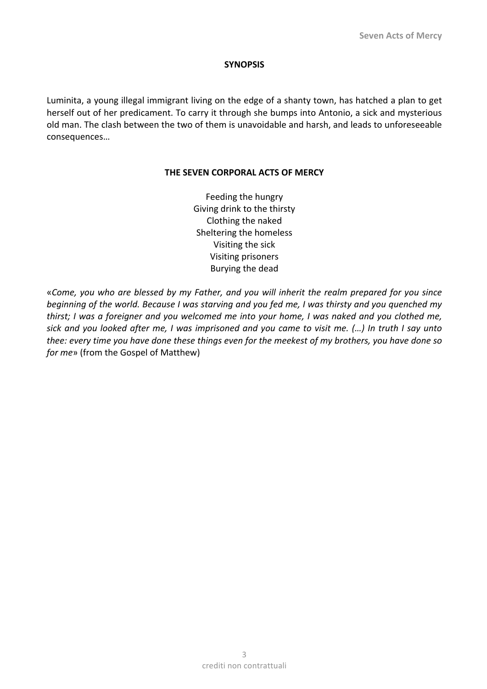## **SYNOPSIS**

Luminita, a young illegal immigrant living on the edge of a shanty town, has hatched a plan to get herself out of her predicament. To carry it through she bumps into Antonio, a sick and mysterious old man. The clash between the two of them is unavoidable and harsh, and leads to unforeseeable consequences…

## **THE SEVEN CORPORAL ACTS OF MERCY**

Feeding the hungry Giving drink to the thirsty Clothing the naked Sheltering the homeless Visiting the sick Visiting prisoners Burying the dead

«*Come, you who are blessed by my Father, and you will inherit the realm prepared for you since beginning of the world. Because I was starving and you fed me, I was thirsty and you quenched my thirst; I was a foreigner and you welcomed me into your home, I was naked and you clothed me, sick and you looked after me, I was imprisoned and you came to visit me. (…) In truth I say unto thee: every time you have done these things even for the meekest of my brothers, you have done so for me*» (from the Gospel of Matthew)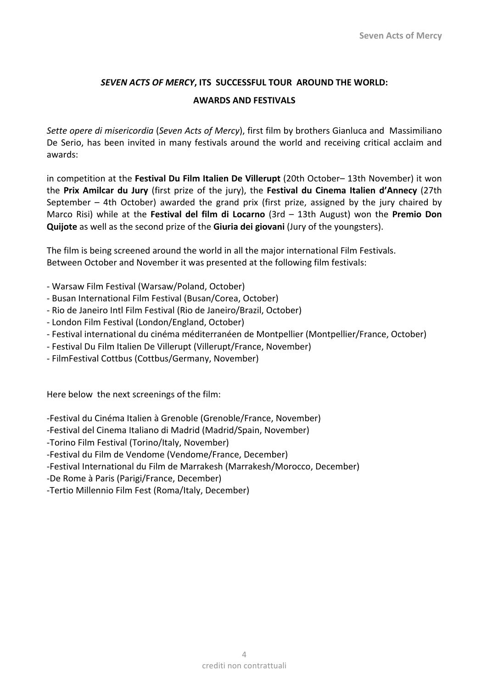## *SEVEN ACTS OF MERCY***, ITS SUCCESSFUL TOUR AROUND THE WORLD:**

## **AWARDS AND FESTIVALS**

*Sette opere di misericordia* (*Seven Acts of Mercy*), first film by brothers Gianluca and Massimiliano De Serio, has been invited in many festivals around the world and receiving critical acclaim and awards:

in competition at the **Festival Du Film Italien De Villerupt** (20th October– 13th November) it won the **Prix Amilcar du Jury** (first prize of the jury), the **Festival du Cinema Italien d'Annecy** (27th September – 4th October) awarded the grand prix (first prize, assigned by the jury chaired by Marco Risi) while at the **Festival del film di Locarno** (3rd – 13th August) won the **Premio Don Quijote** as well as the second prize of the **Giuria dei giovani** (Jury of the youngsters).

The film is being screened around the world in all the major international Film Festivals. Between October and November it was presented at the following film festivals:

- ‐ Warsaw Film Festival (Warsaw/Poland, October)
- ‐ Busan International Film Festival (Busan/Corea, October)
- ‐ Rio de Janeiro Intl Film Festival (Rio de Janeiro/Brazil, October)
- ‐ London Film Festival (London/England, October)
- ‐ Festival international du cinéma méditerranéen de Montpellier (Montpellier/France, October)
- ‐ Festival Du Film Italien De Villerupt (Villerupt/France, November)
- ‐ FilmFestival Cottbus (Cottbus/Germany, November)

Here below the next screenings of the film:

‐Festival du Cinéma Italien à Grenoble (Grenoble/France, November)

‐Festival del Cinema Italiano di Madrid (Madrid/Spain, November)

‐Torino Film Festival (Torino/Italy, November)

‐Festival du Film de Vendome (Vendome/France, December)

‐Festival International du Film de Marrakesh (Marrakesh/Morocco, December)

‐De Rome à Paris (Parigi/France, December)

‐Tertio Millennio Film Fest (Roma/Italy, December)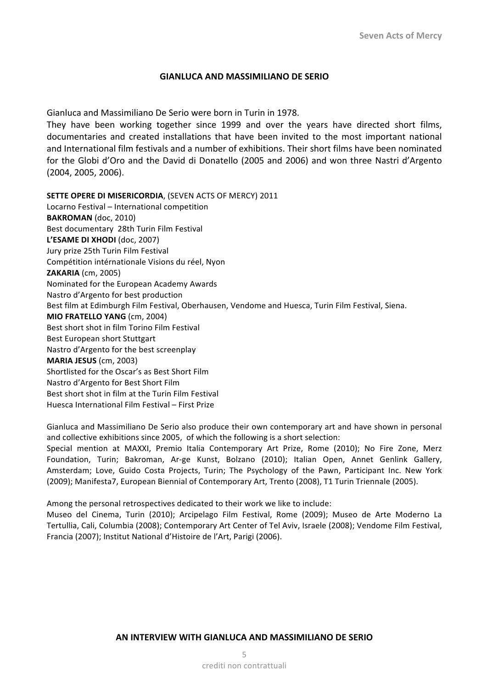#### **GIANLUCA AND MASSIMILIANO DE SERIO**

Gianluca and Massimiliano De Serio were born in Turin in 1978.

They have been working together since 1999 and over the years have directed short films, documentaries and created installations that have been invited to the most important national and International film festivals and a number of exhibitions. Their short films have been nominated for the Globi d'Oro and the David di Donatello (2005 and 2006) and won three Nastri d'Argento (2004, 2005, 2006).

**SETTE OPERE DI MISERICORDIA**, (SEVEN ACTS OF MERCY) 2011 Locarno Festival – International competition **BAKROMAN** (doc, 2010) Best documentary 28th Turin Film Festival **L'ESAME DI XHODI** (doc, 2007) Jury prize 25th Turin Film Festival Compétition intérnationale Visions du réel, Nyon **ZAKARIA** (cm, 2005) Nominated for the European Academy Awards Nastro d'Argento for best production Best film at Edimburgh Film Festival, Oberhausen, Vendome and Huesca, Turin Film Festival, Siena. **MIO FRATELLO YANG** (cm, 2004) Best short shot in film Torino Film Festival Best European short Stuttgart Nastro d'Argento for the best screenplay **MARIA JESUS** (cm, 2003) Shortlisted for the Oscar's as Best Short Film Nastro d'Argento for Best Short Film Best short shot in film at the Turin Film Festival Huesca International Film Festival – First Prize

Gianluca and Massimiliano De Serio also produce their own contemporary art and have shown in personal and collective exhibitions since 2005, of which the following is a short selection:

Special mention at MAXXI, Premio Italia Contemporary Art Prize, Rome (2010); No Fire Zone, Merz Foundation, Turin; Bakroman, Ar‐ge Kunst, Bolzano (2010); Italian Open, Annet Genlink Gallery, Amsterdam; Love, Guido Costa Projects, Turin; The Psychology of the Pawn, Participant Inc. New York (2009); Manifesta7, European Biennial of Contemporary Art, Trento (2008), T1 Turin Triennale (2005).

Among the personal retrospectives dedicated to their work we like to include:

Museo del Cinema, Turin (2010); Arcipelago Film Festival, Rome (2009); Museo de Arte Moderno La Tertullia, Cali, Columbia (2008); Contemporary Art Center of Tel Aviv, Israele (2008); Vendome Film Festival, Francia (2007); Institut National d'Histoire de l'Art, Parigi (2006).

#### **AN INTERVIEW WITH GIANLUCA AND MASSIMILIANO DE SERIO**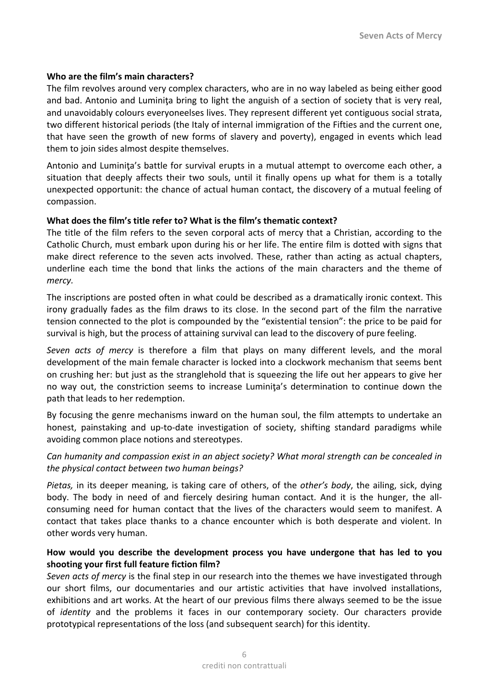## **Who are the film's main characters?**

The film revolves around very complex characters, who are in no way labeled as being either good and bad. Antonio and Luminiţa bring to light the anguish of a section of society that is very real, and unavoidably colours everyoneelses lives. They represent different yet contiguous social strata, two different historical periods (the Italy of internal immigration of the Fifties and the current one, that have seen the growth of new forms of slavery and poverty), engaged in events which lead them to join sides almost despite themselves.

Antonio and Luminiţa's battle for survival erupts in a mutual attempt to overcome each other, a situation that deeply affects their two souls, until it finally opens up what for them is a totally unexpected opportunit: the chance of actual human contact, the discovery of a mutual feeling of compassion.

## **What does the film's title refer to? What is the film's thematic context?**

The title of the film refers to the seven corporal acts of mercy that a Christian, according to the Catholic Church, must embark upon during his or her life. The entire film is dotted with signs that make direct reference to the seven acts involved. These, rather than acting as actual chapters, underline each time the bond that links the actions of the main characters and the theme of *mercy.* 

The inscriptions are posted often in what could be described as a dramatically ironic context. This irony gradually fades as the film draws to its close. In the second part of the film the narrative tension connected to the plot is compounded by the "existential tension": the price to be paid for survival is high, but the process of attaining survival can lead to the discovery of pure feeling.

*Seven acts of mercy*  is therefore a film that plays on many different levels, and the moral development of the main female character is locked into a clockwork mechanism that seems bent on crushing her: but just as the stranglehold that is squeezing the life out her appears to give her no way out, the constriction seems to increase Luminita's determination to continue down the path that leads to her redemption.

By focusing the genre mechanisms inward on the human soul, the film attempts to undertake an honest, painstaking and up-to-date investigation of society, shifting standard paradigms while avoiding common place notions and stereotypes.

## *Can humanity and compassion exist in an abject society? What moral strength can be concealed in the physical contact between two human beings?*

*Pietas,* in its deeper meaning, is taking care of others, of the *other's body*, the ailing, sick, dying body. The body in need of and fiercely desiring human contact. And it is the hunger, the all‐ consuming need for human contact that the lives of the characters would seem to manifest. A contact that takes place thanks to a chance encounter which is both desperate and violent. In other words very human.

## **How would you describe the development process you have undergone that has led to you shooting your first full feature fiction film?**

*Seven acts of mercy* is the final step in our research into the themes we have investigated through our short films, our documentaries and our artistic activities that have involved installations, exhibitions and art works. At the heart of our previous films there always seemed to be the issue of *identity* and the problems it faces in our contemporary society. Our characters provide prototypical representations of the loss (and subsequent search) for this identity.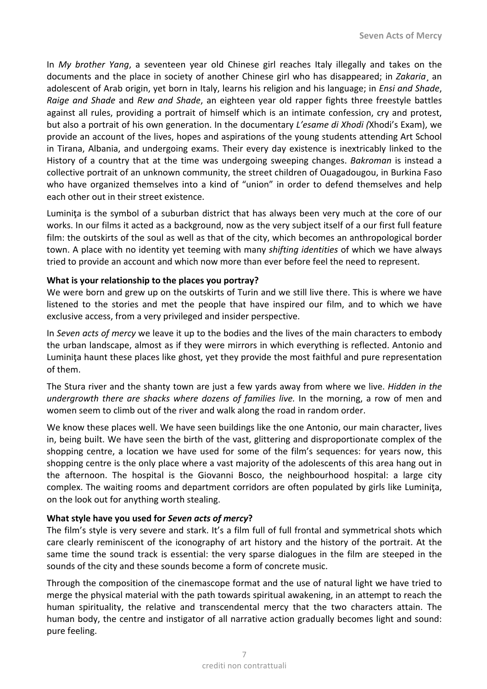In *My brother Yang*, a seventeen year old Chinese girl reaches Italy illegally and takes on the documents and the place in society of another Chinese girl who has disappeared; in *Zakaria*¸ an adolescent of Arab origin, yet born in Italy, learns his religion and his language; in *Ensi and Shade*, *Raige and Shade* and *Rew and Shade*, an eighteen year old rapper fights three freestyle battles against all rules, providing a portrait of himself which is an intimate confession, cry and protest, but also a portrait of his own generation. In the documentary *L'esame di Xhodi (*Xhodi's Exam), we provide an account of the lives, hopes and aspirations of the young students attending Art School in Tirana, Albania, and undergoing exams. Their every day existence is inextricably linked to the History of a country that at the time was undergoing sweeping changes. *Bakroman*  is instead a collective portrait of an unknown community, the street children of Ouagadougou, in Burkina Faso who have organized themselves into a kind of "union" in order to defend themselves and help each other out in their street existence.

Luminita is the symbol of a suburban district that has always been very much at the core of our works. In our films it acted as a background, now as the very subject itself of a our first full feature film: the outskirts of the soul as well as that of the city, which becomes an anthropological border town. A place with no identity yet teeming with many *shifting identities* of which we have always tried to provide an account and which now more than ever before feel the need to represent.

## **What is your relationship to the places you portray?**

We were born and grew up on the outskirts of Turin and we still live there. This is where we have listened to the stories and met the people that have inspired our film, and to which we have exclusive access, from a very privileged and insider perspective.

In *Seven acts of mercy* we leave it up to the bodies and the lives of the main characters to embody the urban landscape, almost as if they were mirrors in which everything is reflected. Antonio and Luminita haunt these places like ghost, yet they provide the most faithful and pure representation of them.

The Stura river and the shanty town are just a few yards away from where we live. *Hidden in the*  undergrowth there are shacks where dozens of families live. In the morning, a row of men and women seem to climb out of the river and walk along the road in random order.

We know these places well. We have seen buildings like the one Antonio, our main character, lives in, being built. We have seen the birth of the vast, glittering and disproportionate complex of the shopping centre, a location we have used for some of the film's sequences: for years now, this shopping centre is the only place where a vast majority of the adolescents of this area hang out in the afternoon. The hospital is the Giovanni Bosco, the neighbourhood hospital: a large city complex. The waiting rooms and department corridors are often populated by girls like Luminiţa, on the look out for anything worth stealing.

## **What style have you used for** *Seven acts of mercy***?**

The film's style is very severe and stark. It's a film full of full frontal and symmetrical shots which care clearly reminiscent of the iconography of art history and the history of the portrait. At the same time the sound track is essential: the very sparse dialogues in the film are steeped in the sounds of the city and these sounds become a form of concrete music.

Through the composition of the cinemascope format and the use of natural light we have tried to merge the physical material with the path towards spiritual awakening, in an attempt to reach the human spirituality, the relative and transcendental mercy that the two characters attain. The human body, the centre and instigator of all narrative action gradually becomes light and sound: pure feeling.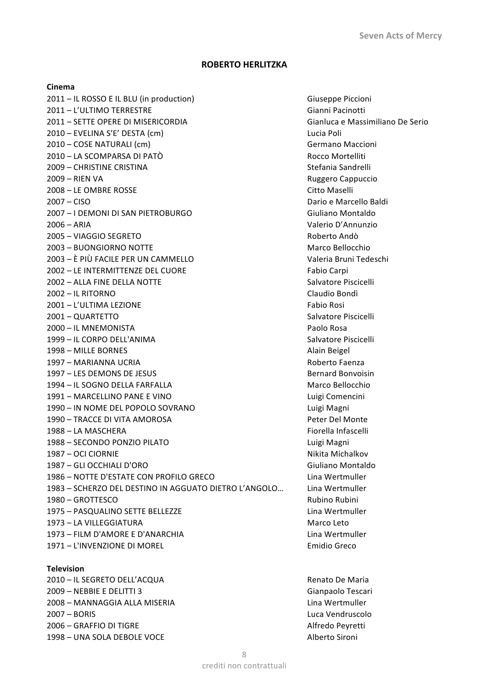## **ROBERTO HERLITZKA**

#### **Cinema**

2011 – IL ROSSO E IL BLU (in production) Giuseppe Piccioni 2011 – L'ULTIMO TERRESTRE Gianni Pacinotti 2011 – SETTE OPERE DI MISERICORDIA Gianluca e Massimiliano De Serio 2010 – EVELINA S'E' DESTA (cm) Lucia Poli 2010 – COSE NATURALI (cm) Germano Maccioni 2010 – LA SCOMPARSA DI PATÒ NE ESSE EN ENSENCIA EN ROCCO MOrtelliti 2009 – CHRISTINE CRISTINA Stefania Sandrelli 2009 – RIEN VA Ruggero Cappuccio 2008 – LE OMBRE ROSSE Citto Maselli 2007 – CISO Dario e Marcello Baldi 2007 – I DEMONI DI SAN PIETROBURGO Giuliano Montaldo 2006 – ARIA Valerio D'Annunzio 2005 – VIAGGIO SEGRETO Roberto Andò 2003 – BUONGIORNO NOTTE Marco Bellocchio 2003 – È PIÙ FACILE PER UN CAMMELLO Valeria Bruni Tedeschi 2002 – LE INTERMITTENZE DEL CUORE Fabio Carpi 2002 – ALLA FINE DELLA NOTTE SALVATORI SALVATORE SALVATORE SALVATORE SALVATORE SALVATORE SALVATORE SALVATORE S 2002 – IL RITORNO Claudio Bondì 2001 – L'ULTIMA LEZIONE Fabio Rosi 2001 – QUARTETTO Salvatore Piscicelli 2000 – IL MNEMONISTA Paolo Rosa 1999 – IL CORPO DELL'ANIMA Salvatore Piscicelli 1998 – MILLE BORNES Alain Beigel 1997 – MARIANNA UCRIA Roberto Faenza 1997 – LES DEMONS DE JESUS Bernard Bonvoisin 1994 – IL SOGNO DELLA FARFALLA Marco Bellocchio 1991 – MARCELLINO PANE E VINO Luigi Comencini 1990 – IN NOME DEL POPOLO SOVRANO Luigi Magni 1990 – TRACCE DI VITA AMOROSA Peter Del Monte 1988 – LA MASCHERA Fiorella Infascelli 1988 – SECONDO PONZIO PILATO Luigi Magni 1987 – OCI CIORNIE Nikita Michalkov 1987 – GLI OCCHIALI D'ORO Giuliano Montaldo 1986 – NOTTE D'ESTATE CON PROFILO GRECO Lina Wertmuller 1983 – SCHERZO DEL DESTINO IN AGGUATO DIETRO L'ANGOLO… Lina Wertmuller 1980 – GROTTESCO Rubino Rubini 1975 – PASQUALINO SETTE BELLEZZE Lina Wertmuller 1973 – LA VILLEGGIATURA Marco Leto 1973 – FILM D'AMORE E D'ANARCHIA Lina Wertmuller 1971 – L'INVENZIONE DI MOREL Emidio Greco

#### **Television**

2010 – IL SEGRETO DELL'ACQUA RENATORIA E ANNO 1999 DE MARIA 2009 – NEBBIE E DELITTI 3 Gianpaolo Tescari 2008 – MANNAGGIA ALLA MISERIA Lina Wertmuller 2007 – BORIS Luca Vendruscolo 2006 – GRAFFIO DI TIGRE Alfredo Peyretti 1998 – UNA SOLA DEBOLE VOCE and the state of the state of the Alberto Sironi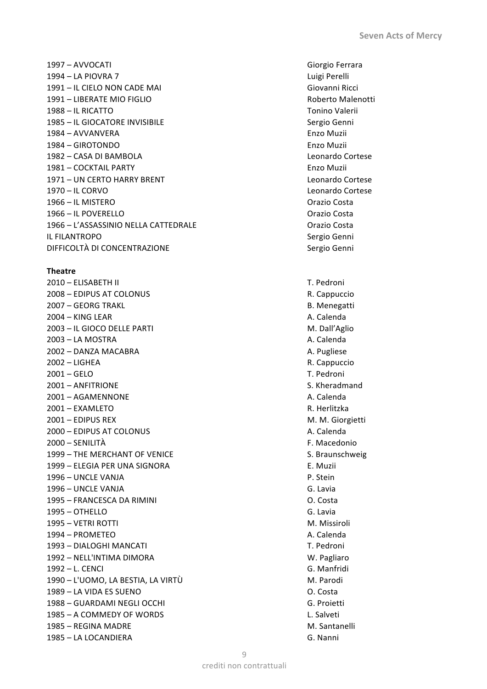1997 – AVVOCATI Giorgio Ferrara 1994 – LA PIOVRA 7 Luigi Perelli 1991 – IL CIELO NON CADE MAI Giovanni Ricci 1991 – LIBERATE MIO FIGLIO Roberto Malenotti 1988 – IL RICATTO Tonino Valerii 1985 – IL GIOCATORE INVISIBILE Sergio Genni 1984 – AVVANVERA Enzo Muzii 1984 – GIROTONDO Enzo Muzii 1982 – CASA DI BAMBOLA Leonardo Cortese 1981 – COCKTAIL PARTY Enzo Muzii 1971 – UN CERTO HARRY BRENT Leonardo Cortese 1970 – IL CORVO Leonardo Cortese 1966 – IL MISTERO Orazio Costa 1966 – IL POVERELLO Orazio Costa 1966 – L'ASSASSINIO NELLA CATTEDRALE Orazio Costa IL FILANTROPO Sergio Genni DIFFICOLTÀ DI CONCENTRAZIONE Sergio Genni

#### **Theatre**

2010 – ELISABETH II T. Pedroni 2008 – EDIPUS AT COLONUS R. Cappuccio 2007 – GEORG TRAKL B. Menegatti 2004 – KING LEAR A. Calenda 2003 – IL GIOCO DELLE PARTI M. Dall'Aglio 2003 – LA MOSTRA A. Calenda 2002 – DANZA MACABRA A. Pugliese 2002 – LIGHEA R. Cappuccio 2001 – GELO T. Pedroni 2001 – ANFITRIONE S. Kheradmand 2001 – AGAMENNONE **A. Calenda** A. Calenda 2001 – EXAMLETO R. Herlitzka 2001 – EDIPUS REX M. M. Giorgietti 2000 – EDIPUS AT COLONUS A. Calenda 2000 – SENILITÀ F. Macedonio 1999 – THE MERCHANT OF VENICE S. Braunschweig 1999 – ELEGIA PER UNA SIGNORA E. Muzii 1996 – UNCLE VANJA P. Stein 1996 – UNCLE VANJA G. Lavia 1995 – FRANCESCA DA RIMINI O. Costa 1995 – OTHELLO G. Lavia 1995 – VETRI ROTTI M. Missiroli 1994 – PROMETEO **A. Calenda** 1993 – DIALOGHI MANCATI NARAH T. Pedroni 1992 – NELL'INTIMA DIMORA W. Pagliaro 1992 – L. CENCI G. Manfridi 1990 – L'UOMO, LA BESTIA, LA VIRTÙ M. Parodi 1989 – LA VIDA ES SUENO O. Costa 1988 – GUARDAMI NEGLI OCCHI G. Proietti 1985 – A COMMEDY OF WORDS L. Salveti 1985 – REGINA MADRE M. Santanelli 1985 – LA LOCANDIERA G. Nanni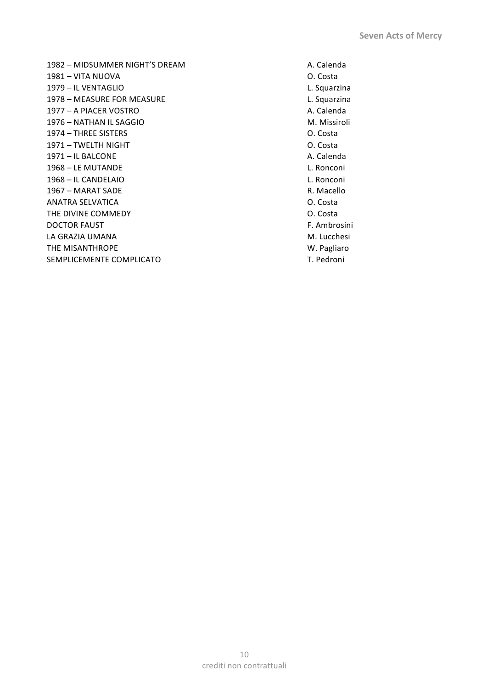1982 – MIDSUMMER NIGHT'S DREAM A. Calenda 1981 – VITA NUOVA O. Costa 1979 – IL VENTAGLIO L. Squarzina 1978 – MEASURE FOR MEASURE L. Squarzina 1977 – A PIACER VOSTRO **ALC 1977** – A PIACER VOSTRO 1976 – NATHAN IL SAGGIO M. Missiroli 1974 – THREE SISTERS O. Costa 1971 – TWELTH NIGHT O. Costa 1971 – IL BALCONE A. Calenda 1968 – LE MUTANDE L. Ronconi 1968 – IL CANDELAIO L. Ronconi 1967 – MARAT SADE R. Macello ANATRA SELVATICA 
and the costa in the costa in the costa in the costa in the costa in the costa in the costa in the costa in the costa in the costa in the costa in the costa in the costa in the costa in the costa in the c THE DIVINE COMMEDY **COMMENT COMMENT COMMENT COMMENT COMMENT COMMENT COMMENT COMMENT COMMENT COMMENT COMMENT COMMENT COMMENT COMMENT COMMENT COMMENT COMMENT COMMENT COMMENT COMMENT COMMENT COMMENT COMMENT COMMENT COMMENT CO** DOCTOR FAUST **F. Ambrosini** LA GRAZIA UMANA M. Lucchesi THE MISANTHROPE W. Pagliaro SEMPLICEMENTE COMPLICATO **T. Pedroni**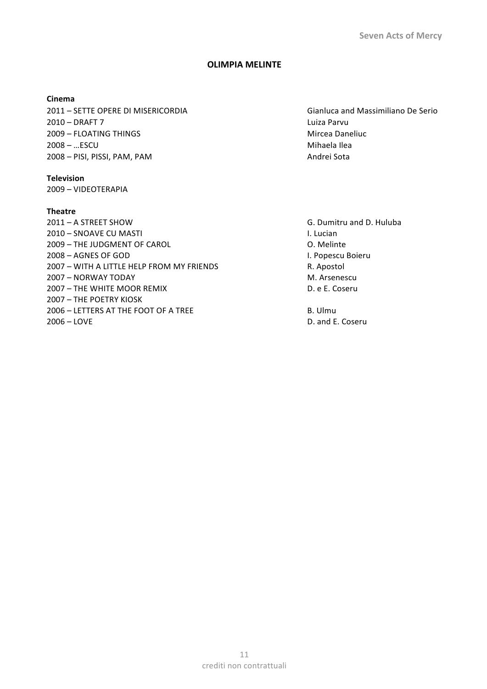#### **OLIMPIA MELINTE**

#### **Cinema**

2011 – SETTE OPERE DI MISERICORDIA Gianluca and Massimiliano De Serio 2010 – DRAFT 7 Luiza Parvu 2009 – FLOATING THINGS Mircea Daneliuc 2008 – …ESCU Mihaela Ilea 2008 – PISI, PISSI, PAM, PAM Andrei Sota

#### **Television**

2009 – VIDEOTERAPIA

## **Theatre**

2011 – A STREET SHOW G. Dumitru and D. Huluba 2010 – SNOAVE CU MASTI **I. Lucian** 2009 – THE JUDGMENT OF CAROL COMENT OF CAROL COMENT OF CAROL COMENTER SUBSERVIATION OF CAROL COMENCIAL COMENCI 2008 – AGNES OF GOD I. Popescu Boieru 2007 – WITH A LITTLE HELP FROM MY FRIENDS R. Apostol 2007 – NORWAY TODAY M. Arsenescu 2007 – THE WHITE MOOR REMIX **D. E. Coseru** 2007 – THE POETRY KIOSK 2006 – LETTERS AT THE FOOT OF A TREE B. Ulmu 2006 – LOVE D. and E. Coseru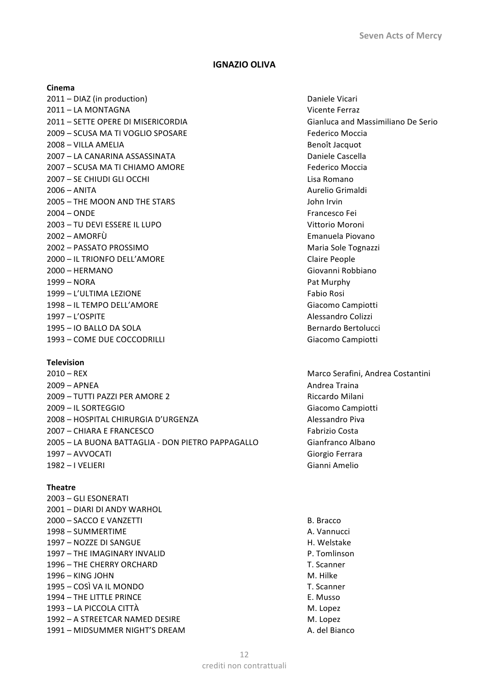#### **IGNAZIO OLIVA**

#### **Cinema**

2011 – DIAZ (in production) and the control of the Daniele Vicari 2011 – LA MONTAGNA Vicente Ferraz 2011 – SETTE OPERE DI MISERICORDIA Gianluca and Massimiliano De Serio 2009 – SCUSA MA TI VOGLIO SPOSARE Federico Moccia 2008 – VILLA AMELIA Benoît Jacquot 2007 – LA CANARINA ASSASSINATA DAN DANIELE CASCElla 2007 – SCUSA MA TI CHIAMO AMORE Federico Moccia 2007 – SE CHIUDI GLI OCCHI Lisa Romano 2006 – ANITA Aurelio Grimaldi 2005 – THE MOON AND THE STARS John Irvin 2004 – ONDE Francesco Fei 2003 – TU DEVI ESSERE IL LUPO VITTORIO VITTORIO VITTORIO VITTORIO VITTORIO VITTORIO VITTORIO VITTORIO VITTORI 2002 – AMORFÙ Emanuela Piovano 2002 – PASSATO PROSSIMO Maria Sole Tognazzi 2000 – IL TRIONFO DELL'AMORE Claire People 2000 – HERMANO Giovanni Robbiano 1999 – NORA **Pat Murphy** 1999 – L'ULTIMA LEZIONE Fabio Rosi 1998 – IL TEMPO DELL'AMORE Giacomo Campiotti 1997 – L'OSPITE Alessandro Colizzi 1995 – IO BALLO DA SOLA Bernardo Bertolucci 1993 – COME DUE COCCODRILLI Giacomo Campiotti

#### **Television**

2010 – REX Marco Serafini, Andrea Costantini 2009 – APNEA Andrea Traina 2009 – TUTTI PAZZI PER AMORE 2 Riccardo Milani 2009 – IL SORTEGGIO Giacomo Campiotti 2008 – HOSPITAL CHIRURGIA D'URGENZA Alessandro Piva 2007 – CHIARA E FRANCESCO Fabrizio Costa 2005 – LA BUONA BATTAGLIA ‐ DON PIETRO PAPPAGALLO Gianfranco Albano 1997 – AVVOCATI Giorgio Ferrara 1982 – I VELIERI Gianni Amelio

#### **Theatre**

2003 – GLI ESONERATI 2001 – DIARI DI ANDY WARHOL 2000 – SACCO E VANZETTI B. Bracco 1998 – SUMMERTIME **A. Vannucci** A. Vannucci 1997 – NOZZE DI SANGUE H. Welstake 1997 – THE IMAGINARY INVALID P. Tomlinson 1996 – THE CHERRY ORCHARD T. Scanner 1996 – KING JOHN M. Hilke 1995 – COSÌ VA IL MONDO T. Scanner 1994 – THE LITTLE PRINCE E. MUSSO 1993 – LA PICCOLA CITTÀ NA BILANTIA ESPECIALE EN LOREZ EN LA BILA DE LA BILANTIA EN LOREZ 1992 – A STREETCAR NAMED DESIRE MESSING MESSING MESSING METALLICIAL STREET AND MESSING METALL AND MESSING METALLO 1991 – MIDSUMMER NIGHT'S DREAM A. del Bianco

- 
-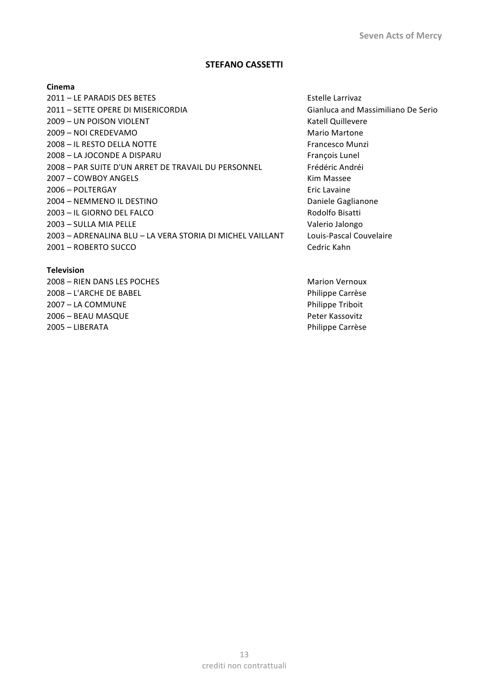## **STEFANO CASSETTI**

#### **Cinema**

2011 – LE PARADIS DES BETES Estelle Larrivaz 2011 – SETTE OPERE DI MISERICORDIA Gianluca and Massimiliano De Serio 2009 – UN POISON VIOLENT THE RESERVE CONSUMING THE RESERVE CONSUMING THE RESERVE CONSUMING THE RESERVE CONSUMING THE RESERVE CONSUMING THE RESERVE CONSUMING THE RESERVE CONSUMING THE RESERVE CONSUMING THE RESERVE CONSUMING 2009 – NOI CREDEVAMO Mario Martone 2008 – IL RESTO DELLA NOTTE **Francesco Munzi** Francesco Munzi 2008 – LA JOCONDE A DISPARU François Lunel 2008 – PAR SUITE D'UN ARRET DE TRAVAIL DU PERSONNEL Frédéric Andréi 2007 – COWBOY ANGELS Kim Massee 2006 – POLTERGAY Eric Lavaine 2004 – NEMMENO IL DESTINO **Daniele Gaglianone** 2003 – IL GIORNO DEL FALCO Rodolfo Bisatti 2003 – SULLA MIA PELLE Valerio Jalongo 2003 – ADRENALINA BLU – LA VERA STORIA DI MICHEL VAILLANT Louis‐Pascal Couvelaire 2001 – ROBERTO SUCCO Cedric Kahn

2008 – RIEN DANS LES POCHES MARION VERSION AND MARION VERSION VERSION VERSION VERSION VERSION VERSION VERSION VERSION VERSION VERSION VERSION VERSION VERSION VERSION VERSION VERSION VERSION VERSION VERSION VERSION VERSION

**Television**

2008 – L'ARCHE DE BABEL Philippe Carrèse 2007 – LA COMMUNE Philippe Triboit 2006 – BEAU MASQUE Peter Kassovitz 2005 – LIBERATA Philippe Carrèse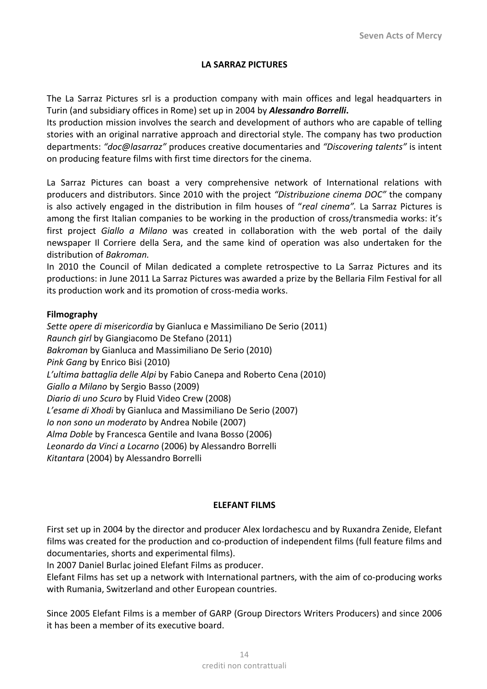## **LA SARRAZ PICTURES**

The La Sarraz Pictures srl is a production company with main offices and legal headquarters in Turin (and subsidiary offices in Rome) set up in 2004 by *Alessandro Borrelli***.** 

Its production mission involves the search and development of authors who are capable of telling stories with an original narrative approach and directorial style. The company has two production departments: *"doc@lasarraz"* produces creative documentaries and *"Discovering talents"* is intent on producing feature films with first time directors for the cinema.

La Sarraz Pictures can boast a very comprehensive network of International relations with producers and distributors. Since 2010 with the project *"Distribuzione cinema DOC"* the company is also actively engaged in the distribution in film houses of "*real cinema".*  La Sarraz Pictures is among the first Italian companies to be working in the production of cross/transmedia works: it's first project *Giallo a Milano*  was created in collaboration with the web portal of the daily newspaper Il Corriere della Sera, and the same kind of operation was also undertaken for the distribution of *Bakroman.* 

In 2010 the Council of Milan dedicated a complete retrospective to La Sarraz Pictures and its productions: in June 2011 La Sarraz Pictures was awarded a prize by the Bellaria Film Festival for all its production work and its promotion of cross-media works.

## **Filmography**

*Sette opere di misericordia* by Gianluca e Massimiliano De Serio (2011) *Raunch girl* by Giangiacomo De Stefano (2011) *Bakroman* by Gianluca and Massimiliano De Serio (2010) *Pink Gang* by Enrico Bisi (2010) *L'ultima battaglia delle Alpi* by Fabio Canepa and Roberto Cena (2010) *Giallo a Milano* by Sergio Basso (2009) *Diario di uno Scuro* by Fluid Video Crew (2008) *L'esame di Xhodi* by Gianluca and Massimiliano De Serio (2007) *Io non sono un moderato* by Andrea Nobile (2007) *Alma Doble* by Francesca Gentile and Ivana Bosso (2006) *Leonardo da Vinci a Locarno* (2006) by Alessandro Borrelli *Kitantara* (2004) by Alessandro Borrelli

## **ELEFANT FILMS**

First set up in 2004 by the director and producer Alex Iordachescu and by Ruxandra Zenide, Elefant films was created for the production and co-production of independent films (full feature films and documentaries, shorts and experimental films).

In 2007 Daniel Burlac joined Elefant Films as producer.

Elefant Films has set up a network with International partners, with the aim of co-producing works with Rumania, Switzerland and other European countries.

Since 2005 Elefant Films is a member of GARP (Group Directors Writers Producers) and since 2006 it has been a member of its executive board.